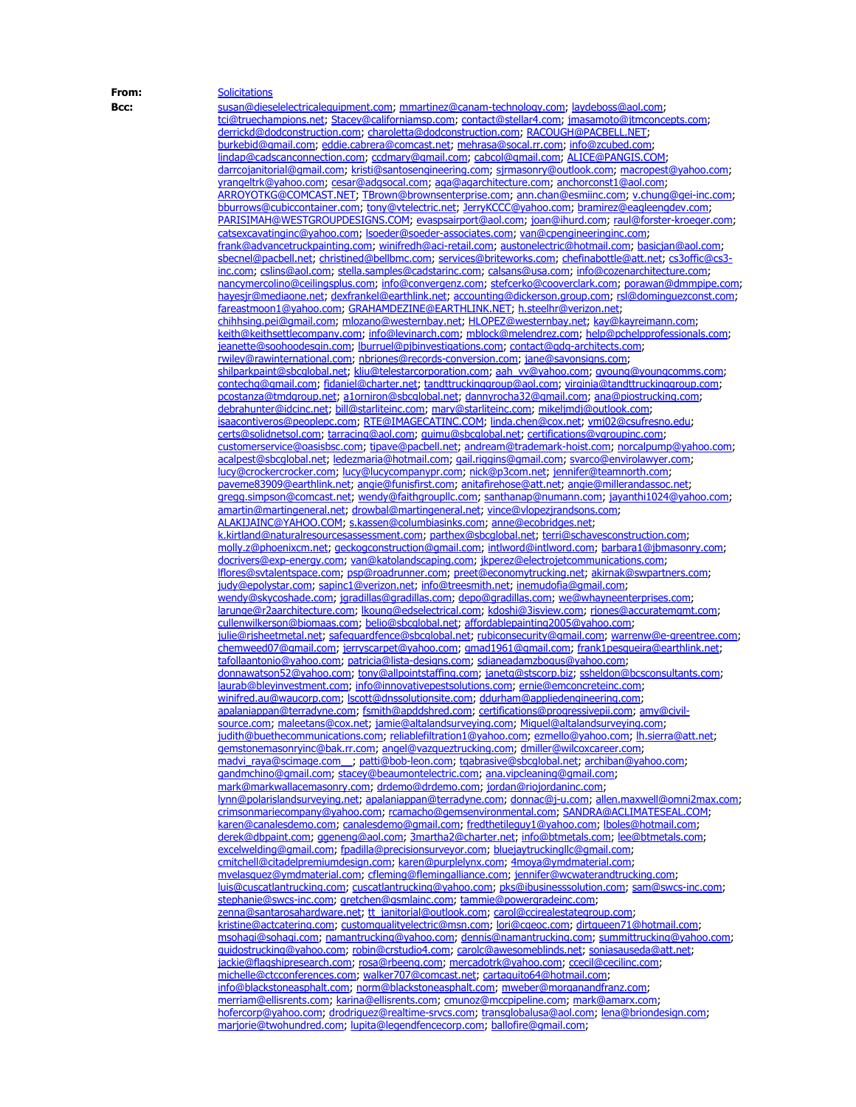**From:** [Solicitations](mailto:Solicitations@omniapartners.com) **Bcc:** [susan@dieselelectricalequipment.com;](mailto:susan@dieselelectricalequipment.com) [mmartinez@canam-technology.com](mailto:mmartinez@canam-technology.com); [laydeboss@aol.com](mailto:laydeboss@aol.com); [tci@truechampions.net](mailto:tci@truechampions.net); [Stacey@californiamsp.com](mailto:Stacey@californiamsp.com); [contact@stellar4.com](mailto:contact@stellar4.com); [jmasamoto@jtmconcepts.com](mailto:jmasamoto@jtmconcepts.com); [derrickd@dodconstruction.com](mailto:derrickd@dodconstruction.com); [charoletta@dodconstruction.com](mailto:charoletta@dodconstruction.com); [RACOUGH@PACBELL.NET;](mailto:RACOUGH@PACBELL.NET) [burkebid@gmail.com](mailto:burkebid@gmail.com); [eddie.cabrera@comcast.net](mailto:eddie.cabrera@comcast.net); [mehrasa@socal.rr.com](mailto:mehrasa@socal.rr.com); [info@zcubed.com](mailto:info@zcubed.com); [lindap@cadscanconnection.com](mailto:lindap@cadscanconnection.com); [ccdmary@gmail.com](mailto:ccdmary@gmail.com); [cabcol@gmail.com;](mailto:cabcol@gmail.com) [ALICE@PANGIS.COM](mailto:ALICE@PANGIS.COM); [darrcojanitorial@gmail.com](mailto:darrcojanitorial@gmail.com); [kristi@santosengineering.com](mailto:kristi@santosengineering.com); [sjrmasonry@outlook.com](mailto:sjrmasonry@outlook.com); [macropest@yahoo.com](mailto:macropest@yahoo.com); [yrangeltrk@yahoo.com](mailto:yrangeltrk@yahoo.com); [cesar@adgsocal.com](mailto:cesar@adgsocal.com); [aga@agarchitecture.com](mailto:aga@agarchitecture.com); [anchorconst1@aol.com](mailto:anchorconst1@aol.com); [ARROYOTKG@COMCAST.NET](mailto:ARROYOTKG@COMCAST.NET); [TBrown@brownsenterprise.com](mailto:TBrown@brownsenterprise.com); [ann.chan@esmiinc.com](mailto:ann.chan@esmiinc.com); [v.chung@gei-inc.com](mailto:v.chung@gei-inc.com); [bburrows@cubiccontainer.com](mailto:bburrows@cubiccontainer.com); [tony@vtelectric.net](mailto:tony@vtelectric.net); [JerryKCCC@yahoo.com](mailto:JerryKCCC@yahoo.com); [bramirez@eagleengdev.com](mailto:bramirez@eagleengdev.com); [PARISIMAH@WESTGROUPDESIGNS.COM](mailto:PARISIMAH@WESTGROUPDESIGNS.COM); [evaspsairport@aol.com;](mailto:evaspsairport@aol.com) [joan@ihurd.com](mailto:joan@ihurd.com); [raul@forster-kroeger.com](mailto:raul@forster-kroeger.com); [catsexcavatinginc@yahoo.com;](mailto:catsexcavatinginc@yahoo.com) [lsoeder@soeder-associates.com](mailto:lsoeder@soeder-associates.com); [van@cpengineeringinc.com](mailto:van@cpengineeringinc.com); [frank@advancetruckpainting.com](mailto:frank@advancetruckpainting.com); [winifredh@aci-retail.com](mailto:winifredh@aci-retail.com); [austonelectric@hotmail.com](mailto:austonelectric@hotmail.com); [basicjan@aol.com](mailto:basicjan@aol.com); [sbecnel@pacbell.net;](mailto:sbecnel@pacbell.net) [christined@bellbmc.com](mailto:christined@bellbmc.com); [services@briteworks.com](mailto:services@briteworks.com); [chefinabottle@att.net](mailto:chefinabottle@att.net); [cs3offic@cs3](mailto:cs3offic@cs3-inc.com) [inc.com](mailto:cs3offic@cs3-inc.com); [cslins@aol.com](mailto:cslins@aol.com); [stella.samples@cadstarinc.com](mailto:stella.samples@cadstarinc.com); [calsans@usa.com](mailto:calsans@usa.com); [info@cozenarchitecture.com](mailto:info@cozenarchitecture.com); [nancymercolino@ceilingsplus.com](mailto:nancymercolino@ceilingsplus.com); [info@convergenz.com](mailto:info@convergenz.com); [stefcerko@cooverclark.com](mailto:stefcerko@cooverclark.com); [porawan@dmmpipe.com](mailto:porawan@dmmpipe.com); [hayesjr@mediaone.net;](mailto:hayesjr@mediaone.net) [dexfrankel@earthlink.net](mailto:dexfrankel@earthlink.net); [accounting@dickerson.group.com](mailto:accounting@dickerson.group.com); [rsl@dominguezconst.com](mailto:rsl@dominguezconst.com); [fareastmoon1@yahoo.com](mailto:fareastmoon1@yahoo.com); [GRAHAMDEZINE@EARTHLINK.NET](mailto:GRAHAMDEZINE@EARTHLINK.NET); [h.steelhr@verizon.net](mailto:h.steelhr@verizon.net); [chihhsing.pei@gmail.com](mailto:chihhsing.pei@gmail.com); [mlozano@westernbay.net](mailto:mlozano@westernbay.net); [HLOPEZ@westernbay.net](mailto:HLOPEZ@westernbay.net); [kay@kayreimann.com](mailto:kay@kayreimann.com); [keith@keithsettlecompany.com;](mailto:keith@keithsettlecompany.com) [info@levinarch.com](mailto:info@levinarch.com); [mblock@melendrez.com](mailto:mblock@melendrez.com); [help@pchelpprofessionals.com](mailto:help@pchelpprofessionals.com); [jeanette@soohoodesgin.com](mailto:jeanette@soohoodesgin.com); [lburruel@pjbinvestigations.com;](mailto:lburruel@pjbinvestigations.com) [contact@qdg-architects.com;](mailto:contact@qdg-architects.com) [rwiley@rawinternational.com](mailto:rwiley@rawinternational.com); [nbriones@records-conversion.com](mailto:nbriones@records-conversion.com); [jane@savonsigns.com](mailto:jane@savonsigns.com); [shilparkpaint@sbcglobal.net](mailto:shilparkpaint@sbcglobal.net); [kliu@telestarcorporation.com](mailto:kliu@telestarcorporation.com); [aah\\_vv@yahoo.com](mailto:aah_vv@yahoo.com); [gyoung@youngcomms.com](mailto:gyoung@youngcomms.com); [contechg@gmail.com;](mailto:contechg@gmail.com) [fidaniel@charter.net](mailto:fidaniel@charter.net); [tandttruckinggroup@aol.com](mailto:tandttruckinggroup@aol.com); [virginia@tandttruckinggroup.com](mailto:virginia@tandttruckinggroup.com); [pcostanza@tmdgroup.net;](mailto:pcostanza@tmdgroup.net) [a1orniron@sbcglobal.net](mailto:a1orniron@sbcglobal.net); [dannyrocha32@gmail.com](mailto:dannyrocha32@gmail.com); [ana@piostrucking.com](mailto:ana@piostrucking.com); [debrahunter@idcinc.net;](mailto:debrahunter@idcinc.net) [bill@starliteinc.com](mailto:bill@starliteinc.com); [mary@starliteinc.com](mailto:mary@starliteinc.com); [mikeljmdj@outlook.com](mailto:mikeljmdj@outlook.com); [isaacontiveros@peoplepc.com](mailto:isaacontiveros@peoplepc.com); [RTE@IMAGECATINC.COM](mailto:RTE@IMAGECATINC.COM); [linda.chen@cox.net;](mailto:linda.chen@cox.net) [vmj02@csufresno.edu](mailto:vmj02@csufresno.edu); [certs@solidnetsol.com;](mailto:certs@solidnetsol.com) [tarracing@aol.com](mailto:tarracing@aol.com); [quimu@sbcglobal.net;](mailto:quimu@sbcglobal.net) [certifications@vgroupinc.com](mailto:certifications@vgroupinc.com); [customerservice@oasisbsc.com;](mailto:customerservice@oasisbsc.com) [tipave@pacbell.net](mailto:tipave@pacbell.net); [andream@trademark-hoist.com](mailto:andream@trademark-hoist.com); [norcalpump@yahoo.com;](mailto:norcalpump@yahoo.com) [acalpest@sbcglobal.net](mailto:acalpest@sbcglobal.net); [ledezmaria@hotmail.com](mailto:ledezmaria@hotmail.com); [gail.riggins@gmail.com](mailto:gail.riggins@gmail.com); [svarco@envirolawyer.com](mailto:svarco@envirolawyer.com); [lucy@crockercrocker.com](mailto:lucy@crockercrocker.com); [lucy@lucycompanypr.com;](mailto:lucy@lucycompanypr.com) [nick@p3com.net](mailto:nick@p3com.net); [jennifer@teamnorth.com](mailto:jennifer@teamnorth.com); [paveme83909@earthlink.net;](mailto:paveme83909@earthlink.net) [angie@funisfirst.com](mailto:angie@funisfirst.com); [anitafirehose@att.net](mailto:anitafirehose@att.net); [angie@millerandassoc.net](mailto:angie@millerandassoc.net); [gregg.simpson@comcast.net](mailto:gregg.simpson@comcast.net); [wendy@faithgroupllc.com](mailto:wendy@faithgroupllc.com); [santhanap@numann.com;](mailto:santhanap@numann.com) [jayanthi1024@yahoo.com;](mailto:jayanthi1024@yahoo.com) [amartin@martingeneral.net;](mailto:amartin@martingeneral.net) [drowbal@martingeneral.net](mailto:drowbal@martingeneral.net); [vince@vlopezjrandsons.com](mailto:vince@vlopezjrandsons.com); [ALAKIJAINC@YAHOO.COM](mailto:ALAKIJAINC@YAHOO.COM); [s.kassen@columbiasinks.com;](mailto:s.kassen@columbiasinks.com) [anne@ecobridges.net](mailto:anne@ecobridges.net); [k.kirtland@naturalresourcesassessment.com](mailto:k.kirtland@naturalresourcesassessment.com); [parthex@sbcglobal.net](mailto:parthex@sbcglobal.net); [terri@schavesconstruction.com](mailto:terri@schavesconstruction.com); [molly.z@phoenixcm.net](mailto:molly.z@phoenixcm.net); [geckogconstruction@gmail.com](mailto:geckogconstruction@gmail.com); [intlword@intlword.com](mailto:intlword@intlword.com); [barbara1@jbmasonry.com](mailto:barbara1@jbmasonry.com); [docrivers@exp-energy.com](mailto:docrivers@exp-energy.com); [van@katolandscaping.com;](mailto:van@katolandscaping.com) [jkperez@electrojetcommunications.com](mailto:jkperez@electrojetcommunications.com); [lflores@svtalentspace.com](mailto:lflores@svtalentspace.com); [psp@roadrunner.com](mailto:psp@roadrunner.com); [preet@economytrucking.net](mailto:preet@economytrucking.net); [akirnak@swpartners.com](mailto:akirnak@swpartners.com); [judy@epolystar.com](mailto:judy@epolystar.com); [sapinc1@verizon.net](mailto:sapinc1@verizon.net); [info@treesmith.net](mailto:info@treesmith.net); [inemudofia@gmail.com](mailto:inemudofia@gmail.com); [wendy@skycoshade.com](mailto:wendy@skycoshade.com); [jgradillas@gradillas.com](mailto:jgradillas@gradillas.com); [depo@gradillas.com](mailto:depo@gradillas.com); [we@whayneenterprises.com](mailto:we@whayneenterprises.com); [larunge@r2aarchitecture.com;](mailto:larunge@r2aarchitecture.com) [lkoung@edselectrical.com](mailto:lkoung@edselectrical.com); [kdoshi@3isview.com](mailto:kdoshi@3isview.com); [rjones@accuratemgmt.com](mailto:rjones@accuratemgmt.com); [cullenwilkerson@biomaas.com;](mailto:cullenwilkerson@biomaas.com) [belio@sbcglobal.net](mailto:belio@sbcglobal.net); [affordablepainting2005@yahoo.com](mailto:affordablepainting2005@yahoo.com); [julie@rjsheetmetal.net](mailto:julie@rjsheetmetal.net); [safeguardfence@sbcglobal.net;](mailto:safeguardfence@sbcglobal.net) [rubiconsecurity@gmail.com](mailto:rubiconsecurity@gmail.com); [warrenw@e-greentree.com](mailto:warrenw@e-greentree.com); [chemweed07@gmail.com](mailto:chemweed07@gmail.com); [jerryscarpet@yahoo.com](mailto:jerryscarpet@yahoo.com); [gmad1961@gmail.com](mailto:gmad1961@gmail.com); [frank1pesqueira@earthlink.net](mailto:frank1pesqueira@earthlink.net); [tafollaantonio@yahoo.com;](mailto:tafollaantonio@yahoo.com) [patricia@lista-designs.com](mailto:patricia@lista-designs.com); [sdianeadamzbogus@yahoo.com](mailto:sdianeadamzbogus@yahoo.com); [donnawatson52@yahoo.com](mailto:donnawatson52@yahoo.com); [tony@allpointstaffing.com](mailto:tony@allpointstaffing.com); [janetg@stscorp.biz](mailto:janetg@stscorp.biz); [ssheldon@bcsconsultants.com](mailto:ssheldon@bcsconsultants.com); [laurab@bleyinvestment.com](mailto:laurab@bleyinvestment.com); [info@innovativepestsolutions.com](mailto:info@innovativepestsolutions.com); [ernie@emconcreteinc.com](mailto:ernie@emconcreteinc.com); [winifred.au@waucorp.com](mailto:winifred.au@waucorp.com); [lscott@dnssolutionsite.com](mailto:lscott@dnssolutionsite.com); [ddurham@appliedengineering.com](mailto:ddurham@appliedengineering.com); [apalaniappan@terradyne.com](mailto:apalaniappan@terradyne.com); [fsmith@apddshred.com;](mailto:fsmith@apddshred.com) [certifications@progressivepii.com](mailto:certifications@progressivepii.com); [amy@civil](mailto:amy@civil-source.com)[source.com;](mailto:amy@civil-source.com) [maleetans@cox.net;](mailto:maleetans@cox.net) [jamie@altalandsurveying.com](mailto:jamie@altalandsurveying.com); [Miguel@altalandsurveying.com](mailto:Miguel@altalandsurveying.com); [judith@buethecommunications.com](mailto:judith@buethecommunications.com); [reliablefiltration1@yahoo.com](mailto:reliablefiltration1@yahoo.com); [ezmello@yahoo.com](mailto:ezmello@yahoo.com); [lh.sierra@att.net](mailto:lh.sierra@att.net); [gemstonemasonryinc@bak.rr.com](mailto:gemstonemasonryinc@bak.rr.com); [angel@vazqueztrucking.com](mailto:angel@vazqueztrucking.com); [dmiller@wilcoxcareer.com](mailto:dmiller@wilcoxcareer.com); [madvi\\_raya@scimage.com\\_\\_](mailto:madvi_raya@scimage.com__); [patti@bob-leon.com](mailto:patti@bob-leon.com); [tqabrasive@sbcglobal.net](mailto:tqabrasive@sbcglobal.net); [archiban@yahoo.com](mailto:archiban@yahoo.com); [gandmchino@gmail.com](mailto:gandmchino@gmail.com); [stacey@beaumontelectric.com;](mailto:stacey@beaumontelectric.com) [ana.vipcleaning@gmail.com](mailto:ana.vipcleaning@gmail.com); [mark@markwallacemasonry.com;](mailto:mark@markwallacemasonry.com) [drdemo@drdemo.com](mailto:drdemo@drdemo.com); [jordan@riojordaninc.com](mailto:jordan@riojordaninc.com); [lynn@polarislandsurveying.net;](mailto:lynn@polarislandsurveying.net) [apalaniappan@terradyne.com](mailto:apalaniappan@terradyne.com); [donnac@j-u.com](mailto:donnac@j-u.com); [allen.maxwell@omni2max.com](mailto:allen.maxwell@omni2max.com); [crimsonmariecompany@yahoo.com](mailto:crimsonmariecompany@yahoo.com); [rcamacho@gemsenvironmental.com](mailto:rcamacho@gemsenvironmental.com); [SANDRA@ACLIMATESEAL.COM;](mailto:SANDRA@ACLIMATESEAL.COM) [karen@canalesdemo.com](mailto:karen@canalesdemo.com); [canalesdemo@gmail.com](mailto:canalesdemo@gmail.com); [fredthetileguy1@yahoo.com](mailto:fredthetileguy1@yahoo.com); [lboles@hotmail.com](mailto:lboles@hotmail.com); [derek@dbpaint.com](mailto:derek@dbpaint.com); [ggeneng@aol.com](mailto:ggeneng@aol.com); [3martha2@charter.net](mailto:3martha2@charter.net); [info@btmetals.com](mailto:info@btmetals.com); [lee@btmetals.com](mailto:lee@btmetals.com); [excelwelding@gmail.com;](mailto:excelwelding@gmail.com) [fpadilla@precisionsurveyor.com](mailto:fpadilla@precisionsurveyor.com); [bluejaytruckingllc@gmail.com](mailto:bluejaytruckingllc@gmail.com); [cmitchell@citadelpremiumdesign.com](mailto:cmitchell@citadelpremiumdesign.com); [karen@purplelynx.com](mailto:karen@purplelynx.com); [4moya@ymdmaterial.com](mailto:4moya@ymdmaterial.com); [mvelasquez@ymdmaterial.com](mailto:mvelasquez@ymdmaterial.com); [cfleming@flemingalliance.com](mailto:cfleming@flemingalliance.com); [jennifer@wcwaterandtrucking.com](mailto:jennifer@wcwaterandtrucking.com); [luis@cuscatlantrucking.com](mailto:luis@cuscatlantrucking.com); [cuscatlantrucking@yahoo.com](mailto:cuscatlantrucking@yahoo.com); [pks@ibusinesssolution.com](mailto:pks@ibusinesssolution.com); [sam@swcs-inc.com](mailto:sam@swcs-inc.com); [stephanie@swcs-inc.com;](mailto:stephanie@swcs-inc.com) [gretchen@gsmlainc.com](mailto:gretchen@gsmlainc.com); [tammie@powergradeinc.com](mailto:tammie@powergradeinc.com); [zenna@santarosahardware.net](mailto:zenna@santarosahardware.net); [tt\\_janitorial@outlook.com](mailto:tt_janitorial@outlook.com); [carol@ccirealestategroup.com](mailto:carol@ccirealestategroup.com); [kristine@actcatering.com](mailto:kristine@actcatering.com); [customqualityelectric@msn.com](mailto:customqualityelectric@msn.com); [lori@cqeoc.com](mailto:lori@cqeoc.com); [dirtqueen71@hotmail.com](mailto:dirtqueen71@hotmail.com); [msohagi@sohagi.com](mailto:msohagi@sohagi.com); [namantrucking@yahoo.com](mailto:namantrucking@yahoo.com); [dennis@namantrucking.com](mailto:dennis@namantrucking.com); [summittrucking@yahoo.com](mailto:summittrucking@yahoo.com); [guidostrucking@yahoo.com](mailto:guidostrucking@yahoo.com); [robin@crstudio4.com](mailto:robin@crstudio4.com); [carolc@awesomeblinds.net](mailto:carolc@awesomeblinds.net); [soniasauseda@att.net;](mailto:soniasauseda@att.net) [jackie@flagshipresearch.com](mailto:jackie@flagshipresearch.com); [rosa@rbeeng.com;](mailto:rosa@rbeeng.com) [mercadotrk@yahoo.com](mailto:mercadotrk@yahoo.com); [ccecil@cecilinc.com](mailto:ccecil@cecilinc.com); [michelle@ctcconferences.com](mailto:michelle@ctcconferences.com); [walker707@comcast.net](mailto:walker707@comcast.net); [cartaguito64@hotmail.com](mailto:cartaguito64@hotmail.com); [info@blackstoneasphalt.com](mailto:info@blackstoneasphalt.com); [norm@blackstoneasphalt.com](mailto:norm@blackstoneasphalt.com); [mweber@morganandfranz.com;](mailto:mweber@morganandfranz.com) [merriam@ellisrents.com;](mailto:merriam@ellisrents.com) [karina@ellisrents.com](mailto:karina@ellisrents.com); [cmunoz@mccpipeline.com](mailto:cmunoz@mccpipeline.com); [mark@amarx.com](mailto:mark@amarx.com); [hofercorp@yahoo.com](mailto:hofercorp@yahoo.com); [drodriguez@realtime-srvcs.com;](mailto:drodriguez@realtime-srvcs.com) [transglobalusa@aol.com](mailto:transglobalusa@aol.com); [lena@briondesign.com](mailto:lena@briondesign.com); [marjorie@twohundred.com](mailto:marjorie@twohundred.com); [lupita@legendfencecorp.com](mailto:lupita@legendfencecorp.com); [ballofire@gmail.com](mailto:ballofire@gmail.com);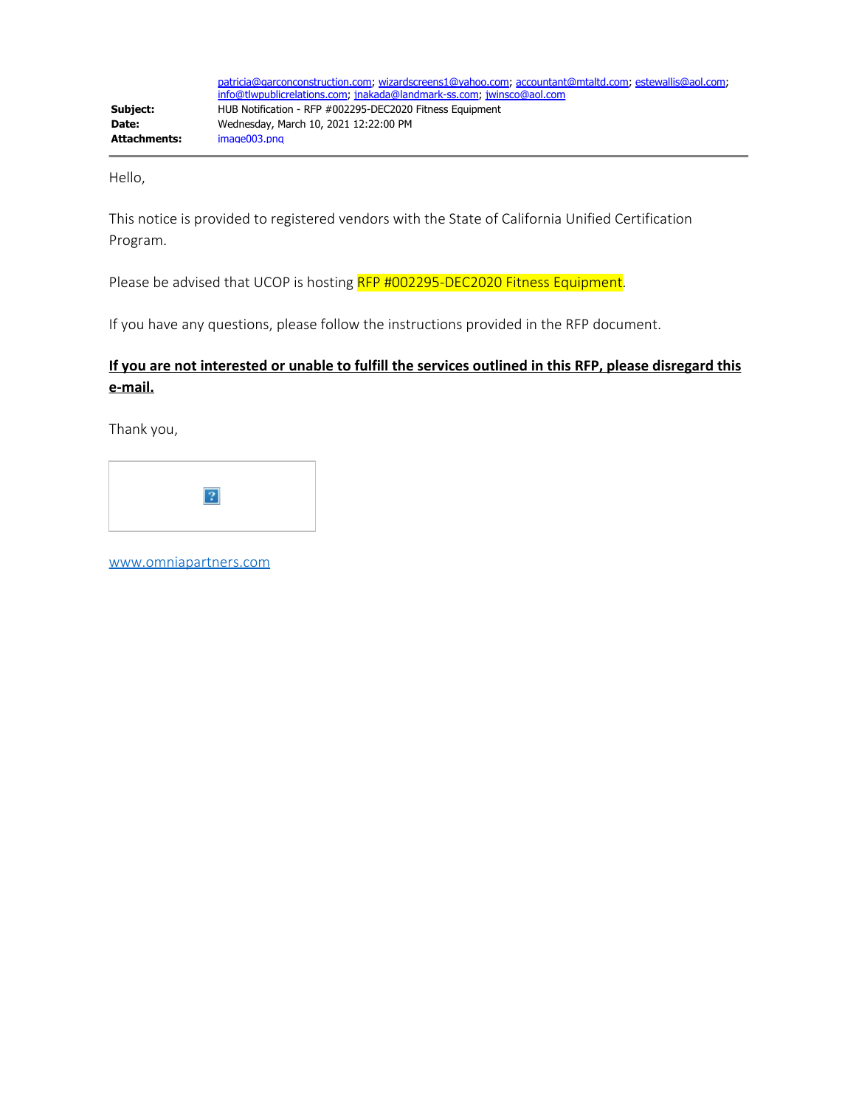Hello,

This notice is provided to registered vendors with the State of California Unified Certification Program.

Please be advised that UCOP is hosting RFP #002295-DEC2020 Fitness Equipment.

If you have any questions, please follow the instructions provided in the RFP document.

### **If you are not interested or unable to fulfill the services outlined in this RFP, please disregard this e-mail.**

Thank you,



[www.omniapartners.com](http://www.omniapartners.com/)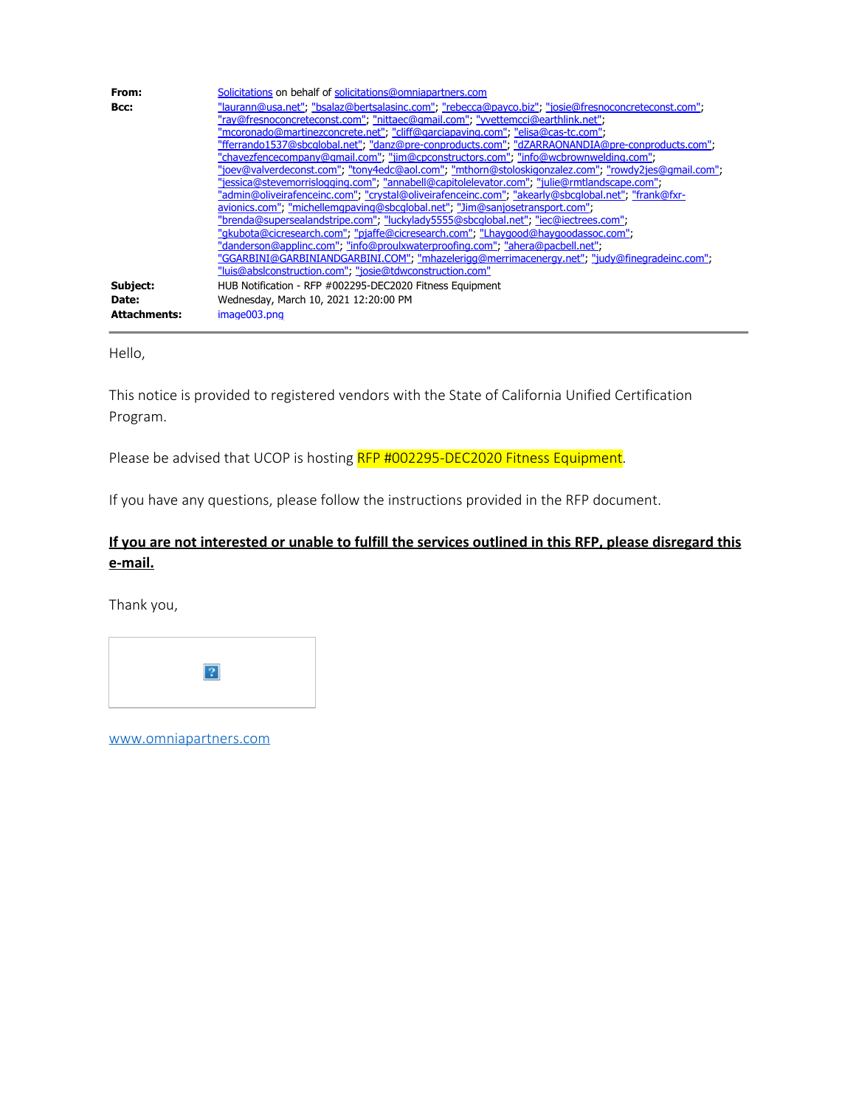| From:               | Solicitations on behalf of solicitations@omniapartners.com                                          |
|---------------------|-----------------------------------------------------------------------------------------------------|
| Bcc:                | "laurann@usa.net"; "bsalaz@bertsalasinc.com"; "rebecca@payco.biz"; "josie@fresnoconcreteconst.com"; |
|                     | "ray@fresnoconcreteconst.com", "nittaec@qmail.com", "yvettemcci@earthlink.net",                     |
|                     | "mcoronado@martinezconcrete.net"; "cliff@garciapaving.com"; "elisa@cas-tc.com";                     |
|                     | "fferrando1537@sbcqlobal.net", "danz@pre-conproducts.com", "dZARRAONANDIA@pre-conproducts.com",     |
|                     | "chavezfencecompany@qmail.com", "jim@cpconstructors.com", "info@wcbrownwelding.com",                |
|                     | "joev@valverdeconst.com", "tony4edc@aol.com", "mthorn@stoloskigonzalez.com"; "rowdy2jes@gmail.com"; |
|                     | "iessica@stevemorrislogging.com"; "annabell@capitolelevator.com"; "julie@rmtlandscape.com";         |
|                     | "admin@oliveirafenceinc.com", "crystal@oliveirafenceinc.com"; "akearly@sbcqlobal.net", "frank@fxr-  |
|                     | avionics.com"; "michellemapaving@sbcqlobal.net"; "Jim@sanjosetransport.com";                        |
|                     | "brenda@supersealandstripe.com", "luckylady5555@sbcqlobal.net", "iec@iectrees.com",                 |
|                     | "gkubota@cicresearch.com"; "pjaffe@cicresearch.com"; "Lhaygood@haygoodassoc.com";                   |
|                     | "danderson@applinc.com", "info@proulxwaterproofing.com", "ahera@pacbell.net",                       |
|                     | "GGARBINI@GARBINIANDGARBINI.COM"; "mhazelerigg@merrimacenergy.net"; "judy@finegradeinc.com";        |
|                     | "luis@abslconstruction.com", "josie@tdwconstruction.com"                                            |
| Subject:            | HUB Notification - RFP #002295-DEC2020 Fitness Equipment                                            |
| Date:               | Wednesday, March 10, 2021 12:20:00 PM                                                               |
| <b>Attachments:</b> | image003.png                                                                                        |

Hello,

This notice is provided to registered vendors with the State of California Unified Certification Program.

Please be advised that UCOP is hosting RFP #002295-DEC2020 Fitness Equipment.

If you have any questions, please follow the instructions provided in the RFP document.

# **If you are not interested or unable to fulfill the services outlined in this RFP, please disregard this e-mail.**

Thank you,



[www.omniapartners.com](http://www.omniapartners.com/)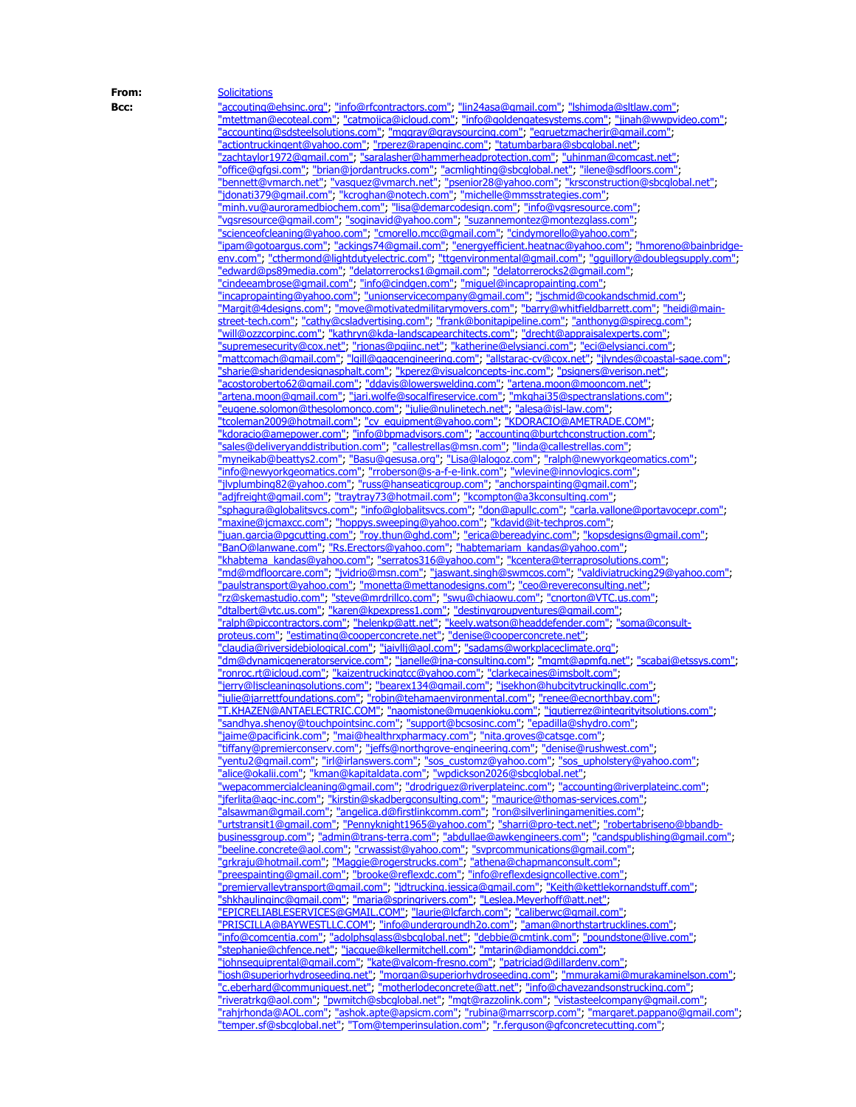**From:** [Solicitations](mailto:Solicitations@omniapartners.com) **Bcc:** ["accouting@ehsinc.org"](mailto:accouting@ehsinc.org); ["info@rfcontractors.com"](mailto:info@rfcontractors.com); ["lin24asa@gmail.com";](mailto:lin24asa@gmail.com) ["lshimoda@sltlaw.com";](mailto:lshimoda@sltlaw.com) ["mtettman@ecoteal.com"](mailto:mtettman@ecoteal.com); ["catmojica@icloud.com"](mailto:catmojica@icloud.com); ["info@goldengatesystems.com"](mailto:info@goldengatesystems.com); ["jinah@wwpvideo.com"](mailto:jinah@wwpvideo.com); ["accounting@sdsteelsolutions.com"](mailto:accounting@sdsteelsolutions.com); ["mggray@graysourcing.com"](mailto:mggray@graysourcing.com); ["egruetzmacherjr@gmail.com";](mailto:egruetzmacherjr@gmail.com) ["actiontruckingent@yahoo.com"](mailto:actiontruckingent@yahoo.com); ["rperez@rapenginc.com"](mailto:rperez@rapenginc.com); ["tatumbarbara@sbcglobal.net"](mailto:tatumbarbara@sbcglobal.net); ["zachtaylor1972@gmail.com"](mailto:zachtaylor1972@gmail.com); ["saralasher@hammerheadprotection.com"](mailto:saralasher@hammerheadprotection.com); ["uhinman@comcast.net"](mailto:uhinman@comcast.net); ["office@gfgsi.com"](mailto:office@gfgsi.com); ["brian@jordantrucks.com"](mailto:brian@jordantrucks.com); ["acmlighting@sbcglobal.net"](mailto:acmlighting@sbcglobal.net); ["ilene@sdfloors.com"](mailto:ilene@sdfloors.com); <u>["bennett@vmarch.net"](mailto:bennett@vmarch.net); ["vasquez@vmarch.net"](mailto:vasquez@vmarch.net); ["psenior28@yahoo.com"](mailto:psenior28@yahoo.com); ["krsconstruction@sbcglobal.net"](mailto:krsconstruction@sbcglobal.net);</u> ["jdonati379@gmail.com"](mailto:jdonati379@gmail.com); ["kcroghan@notech.com"](mailto:kcroghan@notech.com); ["michelle@mmsstrategies.com"](mailto:michelle@mmsstrategies.com); ["minh.vu@auroramedbiochem.com"](mailto:minh.vu@auroramedbiochem.com); ["lisa@demarcodesign.com"](mailto:lisa@demarcodesign.com); ["info@vgsresource.com"](mailto:info@vgsresource.com); ["vgsresource@gmail.com"](mailto:vgsresource@gmail.com); ["soginavid@yahoo.com"](mailto:soginavid@yahoo.com); ["suzannemontez@montezglass.com"](mailto:suzannemontez@montezglass.com); ["scienceofcleaning@yahoo.com";](mailto:scienceofcleaning@yahoo.com) ["cmorello.mcc@gmail.com"](mailto:cmorello.mcc@gmail.com); ["cindymorello@yahoo.com"](mailto:cindymorello@yahoo.com); ["ipam@gotoargus.com"](mailto:ipam@gotoargus.com); ["ackings74@gmail.com"](mailto:ackings74@gmail.com); ["energyefficient.heatnac@yahoo.com"](mailto:energyefficient.heatnac@yahoo.com); ["hmoreno@bainbridge](mailto:hmoreno@bainbridge-env.com)[env.com";](mailto:hmoreno@bainbridge-env.com) ["cthermond@lightdutyelectric.com"](mailto:cthermond@lightdutyelectric.com); ["ttgenvironmental@gmail.com";](mailto:ttgenvironmental@gmail.com) ["gguillory@doublegsupply.com"](mailto:gguillory@doublegsupply.com); ["edward@ps89media.com"](mailto:edward@ps89media.com); ["delatorrerocks1@gmail.com";](mailto:delatorrerocks1@gmail.com) ["delatorrerocks2@gmail.com";](mailto:delatorrerocks2@gmail.com) ["cindeeambrose@gmail.com"](mailto:cindeeambrose@gmail.com); ["info@cindgen.com"](mailto:info@cindgen.com); ["miguel@incapropainting.com"](mailto:miguel@incapropainting.com); ["incapropainting@yahoo.com"](mailto:incapropainting@yahoo.com); ["unionservicecompany@gmail.com"](mailto:unionservicecompany@gmail.com); ["jschmid@cookandschmid.com"](mailto:jschmid@cookandschmid.com); ["Margit@4designs.com"](mailto:Margit@4designs.com); ["move@motivatedmilitarymovers.com"](mailto:move@motivatedmilitarymovers.com); ["barry@whitfieldbarrett.com"](mailto:barry@whitfieldbarrett.com); ["heidi@main](mailto:heidi@main-street-tech.com)[street-tech.com";](mailto:heidi@main-street-tech.com) ["cathy@csladvertising.com"](mailto:cathy@csladvertising.com); ["frank@bonitapipeline.com"](mailto:frank@bonitapipeline.com); ["anthonyg@spirecg.com"](mailto:anthonyg@spirecg.com); ["will@ozzcorpinc.com"](mailto:will@ozzcorpinc.com); ["kathryn@kda-landscapearchitects.com"](mailto:kathryn@kda-landscapearchitects.com); ["drecht@appraisalexperts.com";](mailto:drecht@appraisalexperts.com) ["supremesecurity@cox.net"](mailto:supremesecurity@cox.net); ["rjonas@pgiinc.net"](mailto:rjonas@pgiinc.net); ["katherine@elysianci.com"](mailto:katherine@elysianci.com); ["eci@elysianci.com"](mailto:eci@elysianci.com); ["mattcomach@gmail.com"](mailto:mattcomach@gmail.com); ["lgill@qaqcengineering.com"](mailto:lgill@qaqcengineering.com); ["allstarac-cv@cox.net"](mailto:allstarac-cv@cox.net); ["jlyndes@coastal-sage.com"](mailto:jlyndes@coastal-sage.com); ["sharie@sharidendesignasphalt.com"](mailto:sharie@sharidendesignasphalt.com); ["kperez@visualconcepts-inc.com"](mailto:kperez@visualconcepts-inc.com); ["psigners@verison.net"](mailto:psigners@verison.net); ["acostoroberto62@gmail.com"](mailto:acostoroberto62@gmail.com); ["ddavis@lowerswelding.com"](mailto:ddavis@lowerswelding.com); ["artena.moon@mooncom.net"](mailto:artena.moon@mooncom.net); ["artena.moon@gmail.com";](mailto:artena.moon@gmail.com) ["jari.wolfe@socalfireservice.com";](mailto:jari.wolfe@socalfireservice.com) ["mkghai35@spectranslations.com"](mailto:mkghai35@spectranslations.com); ["eugene.solomon@thesolomonco.com"](mailto:eugene.solomon@thesolomonco.com); ["julie@nulinetech.net"](mailto:julie@nulinetech.net); ["alesa@jsl-law.com"](mailto:alesa@jsl-law.com); ["tcoleman2009@hotmail.com";](mailto:tcoleman2009@hotmail.com) ["cv\\_equipment@yahoo.com"](mailto:cv_equipment@yahoo.com); ["KDORACIO@AMETRADE.COM"](mailto:KDORACIO@AMETRADE.COM) ["kdoracio@amepower.com"](mailto:kdoracio@amepower.com); ["info@bpmadvisors.com"](mailto:info@bpmadvisors.com); ["accounting@burtchconstruction.com"](mailto:accounting@burtchconstruction.com); ["sales@deliveryanddistribution.com"](mailto:sales@deliveryanddistribution.com); ["callestrellas@msn.com"](mailto:callestrellas@msn.com); ["linda@callestrellas.com";](mailto:linda@callestrellas.com) ["myneikab@beattys2.com";](mailto:myneikab@beattys2.com) ["Basu@gesusa.org";](mailto:Basu@gesusa.org) ["Lisa@lalogoz.com";](mailto:Lisa@lalogoz.com) ["ralph@newyorkgeomatics.com"](mailto:ralph@newyorkgeomatics.com); ["info@newyorkgeomatics.com"](mailto:info@newyorkgeomatics.com); ["rroberson@s-a-f-e-link.com"](mailto:rroberson@s-a-f-e-link.com); ["wlevine@innovlogics.com"](mailto:wlevine@innovlogics.com); ["jlvplumbing82@yahoo.com"](mailto:jlvplumbing82@yahoo.com); ["russ@hanseaticgroup.com"](mailto:russ@hanseaticgroup.com); ["anchorspainting@gmail.com"](mailto:anchorspainting@gmail.com); ["adjfreight@gmail.com"](mailto:adjfreight@gmail.com); ["traytray73@hotmail.com"](mailto:traytray73@hotmail.com); ["kcompton@a3kconsulting.com";](mailto:kcompton@a3kconsulting.com) ["sphagura@globalitsvcs.com"](mailto:sphagura@globalitsvcs.com); ["info@globalitsvcs.com"](mailto:info@globalitsvcs.com); ["don@apullc.com"](mailto:don@apullc.com); ["carla.vallone@portavocepr.com"](mailto:carla.vallone@portavocepr.com); ["maxine@jcmaxcc.com"](mailto:maxine@jcmaxcc.com); ["hoppys.sweeping@yahoo.com"](mailto:hoppys.sweeping@yahoo.com); ["kdavid@it-techpros.com";](mailto:kdavid@it-techpros.com) ["juan.garcia@pgcutting.com"](mailto:juan.garcia@pgcutting.com); ["roy.thun@ghd.com"](mailto:roy.thun@ghd.com); ["erica@bereadyinc.com"](mailto:erica@bereadyinc.com); ["kopsdesigns@gmail.com"](mailto:kopsdesigns@gmail.com); <u>["BanO@lanwane.com"](mailto:BanO@lanwane.com); ["Rs.Erectors@yahoo.com"](mailto:Rs.Erectors@yahoo.com); ["habtemariam\\_kandas@yahoo.com"](mailto:habtemariam_kandas@yahoo.com);</u> ["khabtema\\_kandas@yahoo.com"](mailto:khabtema_kandas@yahoo.com); ["serratos316@yahoo.com";](mailto:serratos316@yahoo.com) ["kcentera@terraprosolutions.com"](mailto:kcentera@terraprosolutions.com); ["md@mdfloorcare.com";](mailto:md@mdfloorcare.com) ["jvidrio@msn.com"](mailto:jvidrio@msn.com); ["jaswant.singh@swmcos.com"](mailto:jaswant.singh@swmcos.com); ["valdiviatrucking29@yahoo.com"](mailto:valdiviatrucking29@yahoo.com); ["paulstransport@yahoo.com"](mailto:paulstransport@yahoo.com); ["monetta@mettanodesigns.com"](mailto:monetta@mettanodesigns.com); ["ceo@revereconsulting.net";](mailto:ceo@revereconsulting.net) ["rz@skemastudio.com"](mailto:rz@skemastudio.com); ["steve@mrdrillco.com"](mailto:steve@mrdrillco.com); ["swu@chiaowu.com"](mailto:swu@chiaowu.com); ["cnorton@VTC.us.com"](mailto:cnorton@VTC.us.com); ["dtalbert@vtc.us.com"](mailto:dtalbert@vtc.us.com); ["karen@kpexpress1.com"](mailto:karen@kpexpress1.com); ["destinygroupventures@gmail.com"](mailto:destinygroupventures@gmail.com); ["ralph@piccontractors.com";](mailto:ralph@piccontractors.com) ["helenkp@att.net"](mailto:helenkp@att.net); ["keely.watson@headdefender.com"](mailto:keely.watson@headdefender.com); ["soma@consult](mailto:soma@consult-proteus.com)[proteus.com"](mailto:soma@consult-proteus.com); ["estimating@cooperconcrete.net"](mailto:estimating@cooperconcrete.net); ["denise@cooperconcrete.net"](mailto:denise@cooperconcrete.net); ["claudia@riversidebiological.com"](mailto:claudia@riversidebiological.com); ["jaivllj@aol.com";](mailto:jaivllj@aol.com) ["sadams@workplaceclimate.org"](mailto:sadams@workplaceclimate.org); ["dm@dynamicgeneratorservice.com";](mailto:dm@dynamicgeneratorservice.com) ["janelle@jna-consulting.com";](mailto:janelle@jna-consulting.com) ["mgmt@apmfg.net"](mailto:mgmt@apmfg.net); ["scabaj@etssys.com"](mailto:scabaj@etssys.com); ["ronroc.rt@icloud.com";](mailto:ronroc.rt@icloud.com) ["kaizentruckingtcc@yahoo.com";](mailto:kaizentruckingtcc@yahoo.com) ["clarkecaines@imsbolt.com"](mailto:clarkecaines@imsbolt.com); ["jerry@ljscleaningsolutions.com"](mailto:jerry@ljscleaningsolutions.com); ["bearex134@gmail.com"](mailto:bearex134@gmail.com); ["jsekhon@hubcitytruckingllc.com"](mailto:jsekhon@hubcitytruckingllc.com); ["julie@jarrettfoundations.com"](mailto:julie@jarrettfoundations.com); ["robin@tehamaenvironmental.com"](mailto:robin@tehamaenvironmental.com); ["renee@ecnorthbay.com"](mailto:renee@ecnorthbay.com); ["T.KHAZEN@ANTAELECTRIC.COM"](mailto:T.KHAZEN@ANTAELECTRIC.COM); ["naomistone@mugenkioku.com"](mailto:naomistone@mugenkioku.com); ["jgutierrez@integrityitsolutions.com"](mailto:jgutierrez@integrityitsolutions.com); ["sandhya.shenoy@touchpointsinc.com";](mailto:sandhya.shenoy@touchpointsinc.com) ["support@bcsosinc.com"](mailto:support@bcsosinc.com); ["epadilla@shydro.com"](mailto:epadilla@shydro.com); ["jaime@pacificink.com"](mailto:jaime@pacificink.com); ["mai@healthrxpharmacy.com"](mailto:mai@healthrxpharmacy.com); ["nita.groves@catsge.com"](mailto:nita.groves@catsge.com); ["tiffany@premierconserv.com";](mailto:tiffany@premierconserv.com) ["jeffs@northgrove-engineering.com"](mailto:jeffs@northgrove-engineering.com); ["denise@rushwest.com"](mailto:denise@rushwest.com); ["yentu2@gmail.com"](mailto:yentu2@gmail.com); ["irl@irlanswers.com"](mailto:irl@irlanswers.com); ["sos\\_customz@yahoo.com"](mailto:sos_customz@yahoo.com); ["sos\\_upholstery@yahoo.com"](mailto:sos_upholstery@yahoo.com); ["alice@okalii.com"](mailto:alice@okalii.com); ["kman@kapitaldata.com"](mailto:kman@kapitaldata.com); ["wpdickson2026@sbcglobal.net"](mailto:wpdickson2026@sbcglobal.net); ["wepacommercialcleaning@gmail.com"](mailto:wepacommercialcleaning@gmail.com); ["drodriguez@riverplateinc.com"](mailto:drodriguez@riverplateinc.com); ["accounting@riverplateinc.com"](mailto:accounting@riverplateinc.com); ["jferlita@aqc-inc.com";](mailto:jferlita@aqc-inc.com) ["kirstin@skadbergconsulting.com"](mailto:kirstin@skadbergconsulting.com); ["maurice@thomas-services.com"](mailto:maurice@thomas-services.com); ["alsawman@gmail.com";](mailto:alsawman@gmail.com) ["angelica.d@firstlinkcomm.com"](mailto:angelica.d@firstlinkcomm.com); ["ron@silverliningamenities.com"](mailto:ron@silverliningamenities.com); ["urtstransit1@gmail.com"](mailto:urtstransit1@gmail.com); ["Pennyknight1965@yahoo.com"](mailto:Pennyknight1965@yahoo.com); ["sharri@pro-tect.net"](mailto:sharri@pro-tect.net); ["robertabriseno@bbandb](mailto:robertabriseno@bbandb-businessgroup.com)[businessgroup.com"](mailto:robertabriseno@bbandb-businessgroup.com); ["admin@trans-terra.com"](mailto:admin@trans-terra.com); ["abdullae@awkengineers.com"](mailto:abdullae@awkengineers.com); ["candspublishing@gmail.com"](mailto:candspublishing@gmail.com); <u>["beeline.concrete@aol.com"](mailto:beeline.concrete@aol.com); ["crwassist@yahoo.com";](mailto:crwassist@yahoo.com) ["svprcommunications@gmail.com";](mailto:svprcommunications@gmail.com)</u> ["grkraju@hotmail.com";](mailto:grkraju@hotmail.com) ["Maggie@rogerstrucks.com"](mailto:Maggie@rogerstrucks.com); ["athena@chapmanconsult.com"](mailto:athena@chapmanconsult.com); ["preespainting@gmail.com"](mailto:preespainting@gmail.com); ["brooke@reflexdc.com"](mailto:brooke@reflexdc.com); ["info@reflexdesigncollective.com"](mailto:info@reflexdesigncollective.com); ["premiervalleytransport@gmail.com"](mailto:premiervalleytransport@gmail.com); ["jdtrucking.jessica@gmail.com";](mailto:jdtrucking.jessica@gmail.com) ["Keith@kettlekornandstuff.com";](mailto:Keith@kettlekornandstuff.com) ["shkhaulinginc@gmail.com"](mailto:shkhaulinginc@gmail.com); ["maria@springrivers.com"](mailto:maria@springrivers.com); ["Leslea.Meyerhoff@att.net"](mailto:Leslea.Meyerhoff@att.net); ["EPICRELIABLESERVICES@GMAIL.COM";](mailto:EPICRELIABLESERVICES@GMAIL.COM) ["laurie@lcfarch.com"](mailto:laurie@lcfarch.com); ["caliberwc@gmail.com"](mailto:caliberwc@gmail.com); ["PRISCILLA@BAYWESTLLC.COM"](mailto:PRISCILLA@BAYWESTLLC.COM); ["info@undergroundh2o.com"](mailto:info@undergroundh2o.com); ["aman@northstartrucklines.com"](mailto:aman@northstartrucklines.com); ["info@comcentia.com"](mailto:info@comcentia.com); ["adolphsglass@sbcglobal.net"](mailto:adolphsglass@sbcglobal.net); ["debbie@cmtink.com"](mailto:debbie@cmtink.com); ["poundstone@live.com"](mailto:poundstone@live.com); ["stephanie@chfence.net"](mailto:stephanie@chfence.net); ["jacque@kellermitchell.com"](mailto:jacque@kellermitchell.com); ["mtarin@diamonddci.com"](mailto:mtarin@diamonddci.com); ["johnsequiprental@gmail.com"](mailto:johnsequiprental@gmail.com); ["kate@valcom-fresno.com"](mailto:kate@valcom-fresno.com); ["patriciad@dillardenv.com"](mailto:patriciad@dillardenv.com); ["josh@superiorhydroseeding.net"](mailto:josh@superiorhydroseeding.net); ["morgan@superiorhydroseeding.com";](mailto:morgan@superiorhydroseeding.com) ["mmurakami@murakaminelson.com"](mailto:mmurakami@murakaminelson.com); ["c.eberhard@communiquest.net";](mailto:c.eberhard@communiquest.net) ["motherlodeconcrete@att.net"](mailto:motherlodeconcrete@att.net); ["info@chavezandsonstrucking.com"](mailto:info@chavezandsonstrucking.com); ["riveratrkg@aol.com"](mailto:riveratrkg@aol.com); ["pwmitch@sbcglobal.net"](mailto:pwmitch@sbcglobal.net); ["mgt@razzolink.com"](mailto:mgt@razzolink.com); ["vistasteelcompany@gmail.com"](mailto:vistasteelcompany@gmail.com); ["rahjrhonda@AOL.com"](mailto:rahjrhonda@AOL.com); ["ashok.apte@apsicm.com"](mailto:ashok.apte@apsicm.com); ["rubina@marrscorp.com"](mailto:rubina@marrscorp.com); ["margaret.pappano@gmail.com"](mailto:margaret.pappano@gmail.com); ["temper.sf@sbcglobal.net";](mailto:temper.sf@sbcglobal.net) ["Tom@temperinsulation.com"](mailto:Tom@temperinsulation.com); ["r.ferguson@gfconcretecutting.com"](mailto:r.ferguson@gfconcretecutting.com);